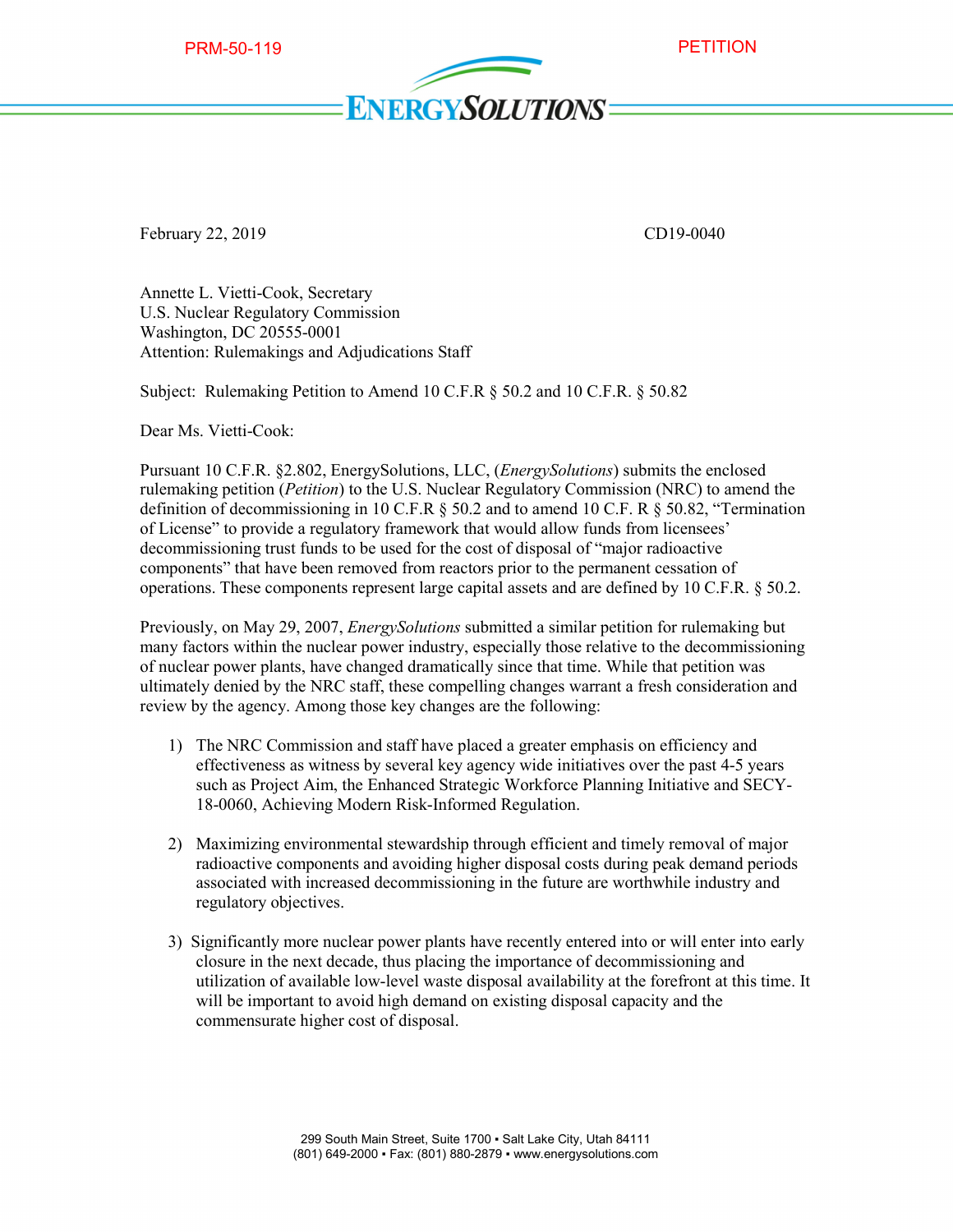

February 22, 2019 **CD19-0040** 

Annette L. Vietti-Cook, Secretary U.S. Nuclear Regulatory Commission Washington, DC 20555-0001 Attention: Rulemakings and Adjudications Staff

Subject: Rulemaking Petition to Amend 10 C.F.R § 50.2 and 10 C.F.R. § 50.82

Dear Ms. Vietti-Cook:

Pursuant 10 C.F.R. §2.802, EnergySolutions, LLC, (*EnergySolutions*) submits the enclosed rulemaking petition (*Petition*) to the U.S. Nuclear Regulatory Commission (NRC) to amend the definition of decommissioning in 10 C.F.R  $\S$  50.2 and to amend 10 C.F. R  $\S$  50.82, "Termination of License" to provide a regulatory framework that would allow funds from licensees' decommissioning trust funds to be used for the cost of disposal of "major radioactive components" that have been removed from reactors prior to the permanent cessation of operations. These components represent large capital assets and are defined by 10 C.F.R. § 50.2.

Previously, on May 29, 2007, *EnergySolutions* submitted a similar petition for rulemaking but many factors within the nuclear power industry, especially those relative to the decommissioning of nuclear power plants, have changed dramatically since that time. While that petition was ultimately denied by the NRC staff, these compelling changes warrant a fresh consideration and review by the agency. Among those key changes are the following:

- 1) The NRC Commission and staff have placed a greater emphasis on efficiency and effectiveness as witness by several key agency wide initiatives over the past 4-5 years such as Project Aim, the Enhanced Strategic Workforce Planning Initiative and SECY-18-0060, Achieving Modern Risk-Informed Regulation.
- 2) Maximizing environmental stewardship through efficient and timely removal of major radioactive components and avoiding higher disposal costs during peak demand periods associated with increased decommissioning in the future are worthwhile industry and regulatory objectives.
- 3) Significantly more nuclear power plants have recently entered into or will enter into early closure in the next decade, thus placing the importance of decommissioning and utilization of available low-level waste disposal availability at the forefront at this time. It will be important to avoid high demand on existing disposal capacity and the commensurate higher cost of disposal.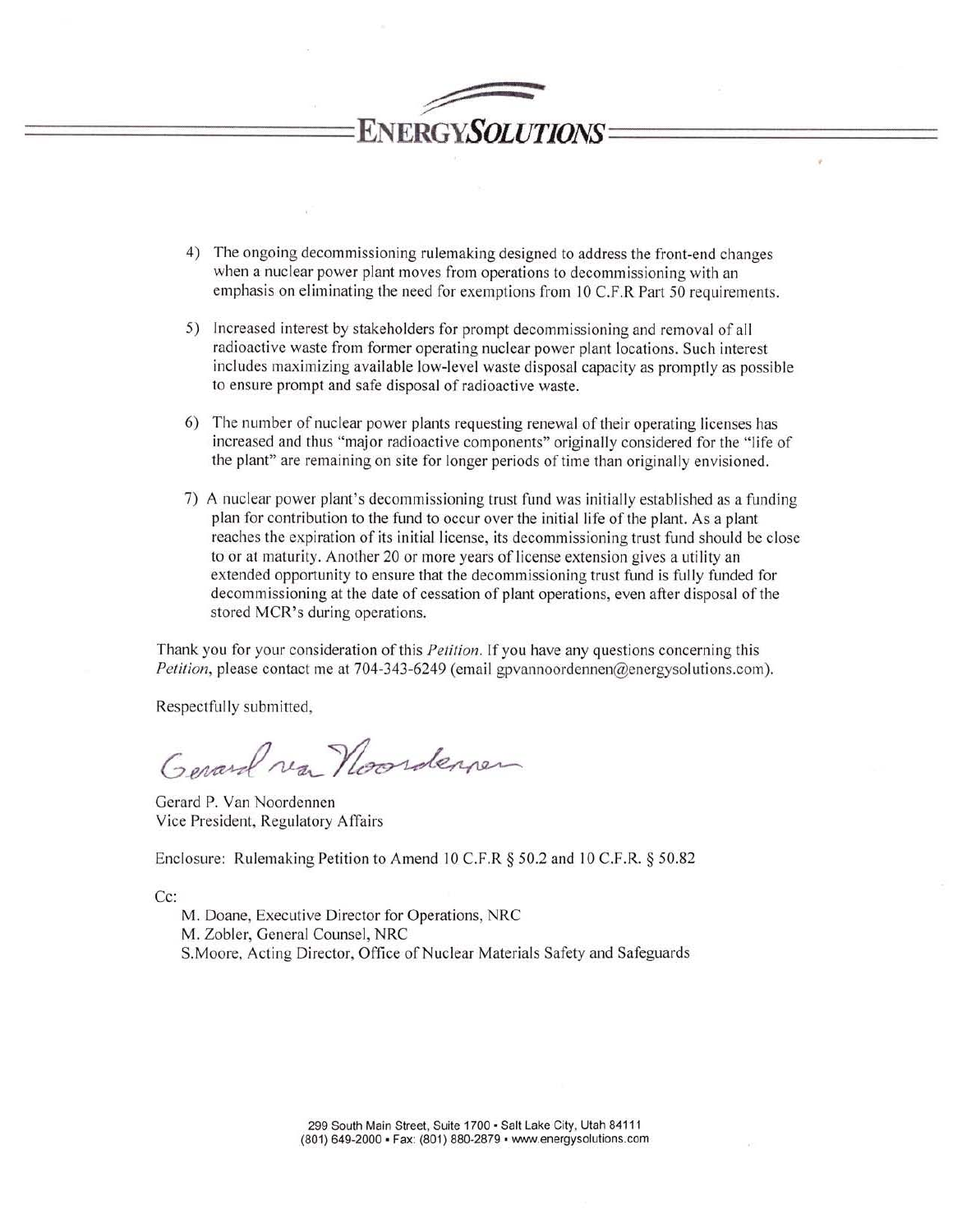

- 4) The ongoing decommissioning rulemaking designed to address the front-end changes when a nuclear power plant moves from operations to decommissioning with an emphasis on eliminating the need for exemptions from 10 C.F.R Part 50 requirements.
- 5) Increased interest by stakeholders for prompt decommissioning and removal of all radioactive waste from former operating nuclear power plant locations. Such interest includes maximizing available low-level waste disposal capacity as promptly as possible to ensure prompt and safe disposal of radioactive waste.
- 6) The number of nuclear power plants requesting renewal of their operating licenses has increased and thus "major radioactive components" originally considered for the "life of the plant" are remaining on site for longer periods of time than originally envisioned.
- 7) A nuclear power plant's decommissioning trust fund was initial ly established as a funding plan for contribution to the fund to occur over the initial life of the plant. As a plant reaches the expiration of its initial license, its decommissioning trust fund should be close to or at maturity. Another 20 or more years of license extension gives a utility an extended opportunity to ensure that the decommissioning trust fund is fully funded for decommissioning at the date of cessation of plant operations, even after disposal of the stored MCR's during operations.

Thank you for your consideration of this *Petition.* If you have any questions concerning this *Petition*, please contact me at 704-343-6249 (email gpvannoordennen@energysolutions.com).

Respectfully submitted,

General va Noordenner

Gerard P. Van Noordennen Vice President, Regulatory Affairs

Enclosure: Rulemaking Petition to Amend IO C.F.R § 50.2 and IO C.F.R. § 50.82

Cc:

M. Doane, Executive Director for Operations, NRC M. Zobler, General Counsel, NRC S.Moore, Acting Director, Office of Nuclear Materials Safety and Safeguards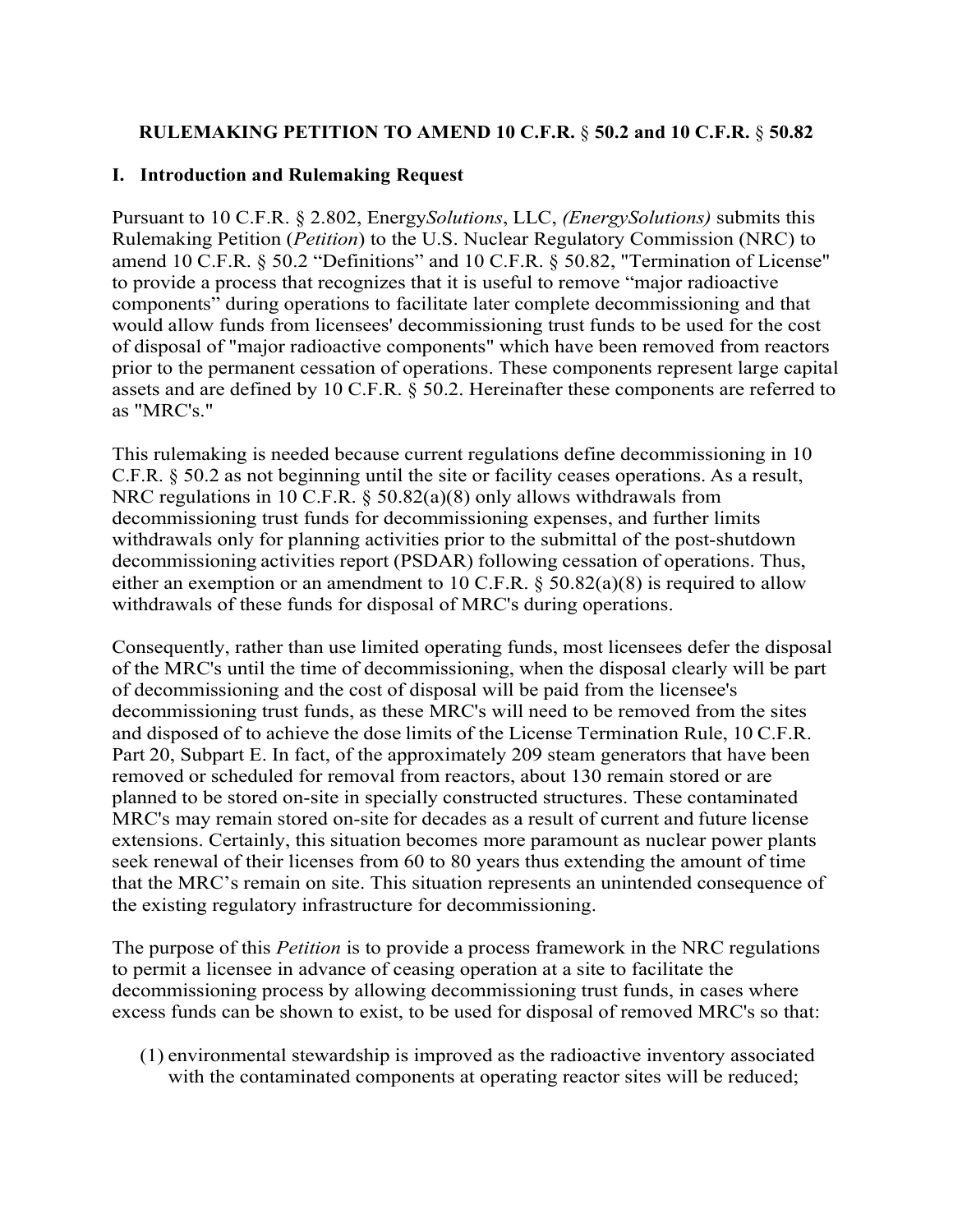#### **RULEMAKING PETITION TO AMEND 10 C.F.R.** § **50.2 and 10 C.F.R.** § **50.82**

#### **I. Introduction and Rulemaking Request**

Pursuant to 10 C.F.R. § 2.802, Energy*Solutions*, LLC, *(EnergySolutions)* submits this Rulemaking Petition (*Petition*) to the U.S. Nuclear Regulatory Commission (NRC) to amend 10 C.F.R. § 50.2 "Definitions" and 10 C.F.R. § 50.82, "Termination of License" to provide a process that recognizes that it is useful to remove "major radioactive components" during operations to facilitate later complete decommissioning and that would allow funds from licensees' decommissioning trust funds to be used for the cost of disposal of "major radioactive components" which have been removed from reactors prior to the permanent cessation of operations. These components represent large capital assets and are defined by 10 C.F.R. § 50.2. Hereinafter these components are referred to as "MRC's."

This rulemaking is needed because current regulations define decommissioning in 10 C.F.R. § 50.2 as not beginning until the site or facility ceases operations. As a result, NRC regulations in 10 C.F.R. § 50.82(a)(8) only allows withdrawals from decommissioning trust funds for decommissioning expenses, and further limits withdrawals only for planning activities prior to the submittal of the post-shutdown decommissioning activities report (PSDAR) following cessation of operations. Thus, either an exemption or an amendment to 10 C.F.R. § 50.82(a)(8) is required to allow withdrawals of these funds for disposal of MRC's during operations.

Consequently, rather than use limited operating funds, most licensees defer the disposal of the MRC's until the time of decommissioning, when the disposal clearly will be part of decommissioning and the cost of disposal will be paid from the licensee's decommissioning trust funds, as these MRC's will need to be removed from the sites and disposed of to achieve the dose limits of the License Termination Rule, 10 C.F.R. Part 20, Subpart E. In fact, of the approximately 209 steam generators that have been removed or scheduled for removal from reactors, about 130 remain stored or are planned to be stored on-site in specially constructed structures. These contaminated MRC's may remain stored on-site for decades as a result of current and future license extensions. Certainly, this situation becomes more paramount as nuclear power plants seek renewal of their licenses from 60 to 80 years thus extending the amount of time that the MRC's remain on site. This situation represents an unintended consequence of the existing regulatory infrastructure for decommissioning.

The purpose of this *Petition* is to provide a process framework in the NRC regulations to permit a licensee in advance of ceasing operation at a site to facilitate the decommissioning process by allowing decommissioning trust funds, in cases where excess funds can be shown to exist, to be used for disposal of removed MRC's so that:

 (1) environmental stewardship is improved as the radioactive inventory associated with the contaminated components at operating reactor sites will be reduced;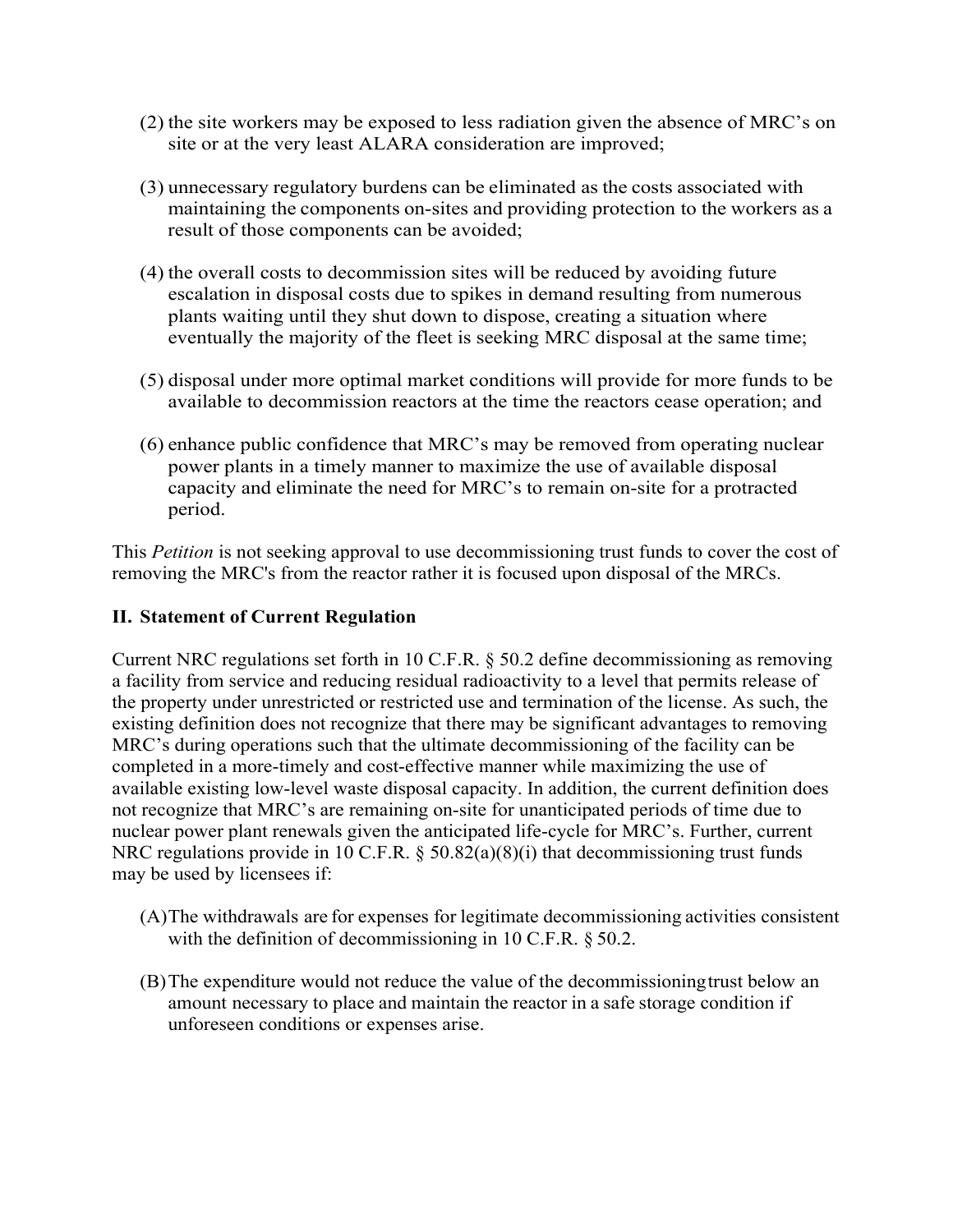- (2) the site workers may be exposed to less radiation given the absence of MRC's on site or at the very least ALARA consideration are improved;
- (3) unnecessary regulatory burdens can be eliminated as the costs associated with maintaining the components on-sites and providing protection to the workers as a result of those components can be avoided;
- (4) the overall costs to decommission sites will be reduced by avoiding future escalation in disposal costs due to spikes in demand resulting from numerous plants waiting until they shut down to dispose, creating a situation where eventually the majority of the fleet is seeking MRC disposal at the same time;
- (5) disposal under more optimal market conditions will provide for more funds to be available to decommission reactors at the time the reactors cease operation; and
- (6) enhance public confidence that MRC's may be removed from operating nuclear power plants in a timely manner to maximize the use of available disposal capacity and eliminate the need for MRC's to remain on-site for a protracted period.

This *Petition* is not seeking approval to use decommissioning trust funds to cover the cost of removing the MRC's from the reactor rather it is focused upon disposal of the MRCs.

## **II. Statement of Current Regulation**

Current NRC regulations set forth in 10 C.F.R. § 50.2 define decommissioning as removing a facility from service and reducing residual radioactivity to a level that permits release of the property under unrestricted or restricted use and termination of the license. As such, the existing definition does not recognize that there may be significant advantages to removing MRC's during operations such that the ultimate decommissioning of the facility can be completed in a more-timely and cost-effective manner while maximizing the use of available existing low-level waste disposal capacity. In addition, the current definition does not recognize that MRC's are remaining on-site for unanticipated periods of time due to nuclear power plant renewals given the anticipated life-cycle for MRC's. Further, current NRC regulations provide in 10 C.F.R. § 50.82(a)(8)(i) that decommissioning trust funds may be used by licensees if:

- (A) The withdrawals are for expenses for legitimate decommissioning activities consistent with the definition of decommissioning in 10 C.F.R. § 50.2.
- (B) The expenditure would not reduce the value of the decommissioningtrust below an amount necessary to place and maintain the reactor in a safe storage condition if unforeseen conditions or expenses arise.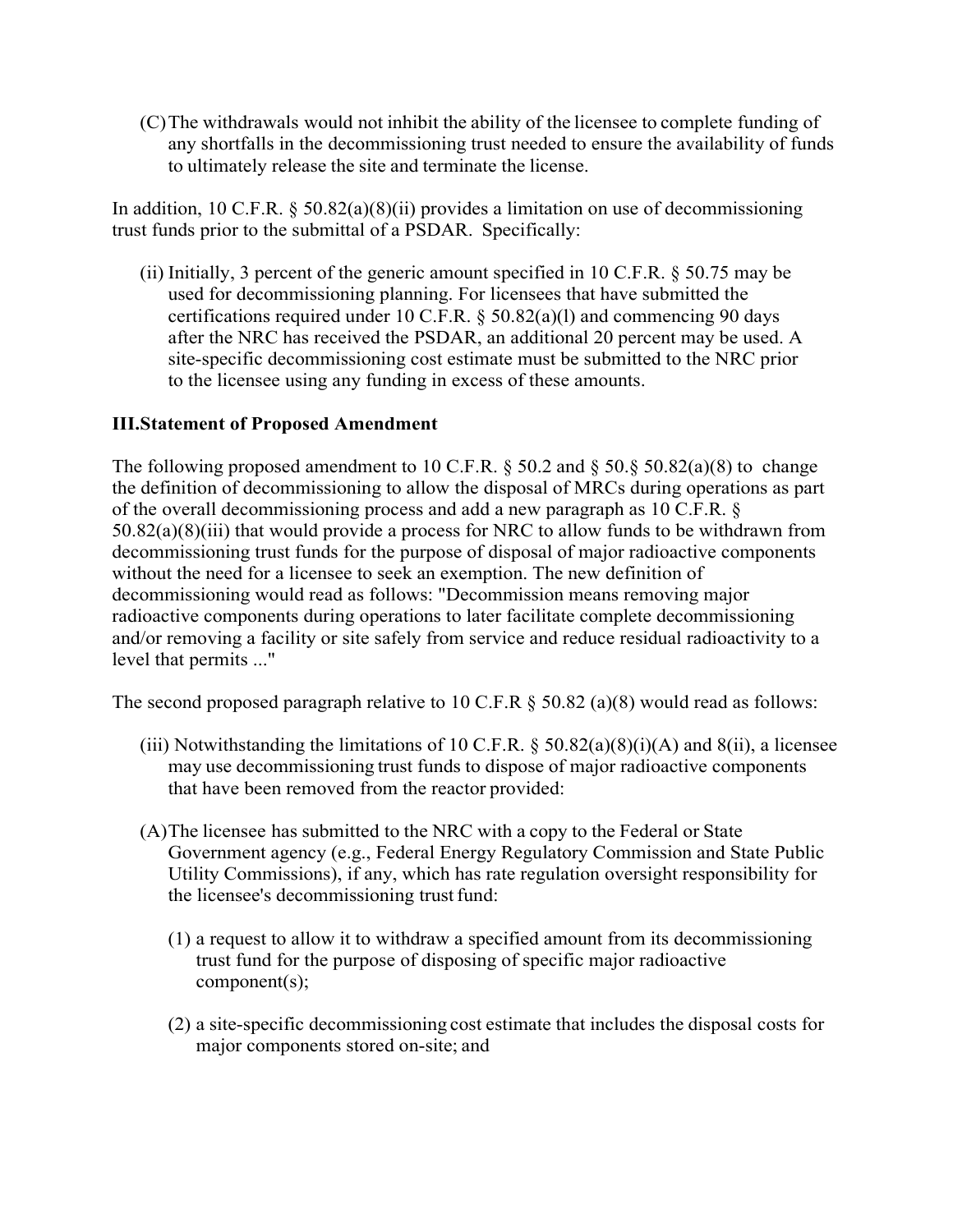(C) The withdrawals would not inhibit the ability of the licensee to complete funding of any shortfalls in the decommissioning trust needed to ensure the availability of funds to ultimately release the site and terminate the license.

In addition, 10 C.F.R.  $\S$  50.82(a)(8)(ii) provides a limitation on use of decommissioning trust funds prior to the submittal of a PSDAR. Specifically:

(ii) Initially, 3 percent of the generic amount specified in 10 C.F.R. § 50.75 may be used for decommissioning planning. For licensees that have submitted the certifications required under 10 C.F.R. § 50.82(a)(l) and commencing 90 days after the NRC has received the PSDAR, an additional 20 percent may be used. A site-specific decommissioning cost estimate must be submitted to the NRC prior to the licensee using any funding in excess of these amounts.

## **III.Statement of Proposed Amendment**

The following proposed amendment to 10 C.F.R.  $\S$  50.2 and  $\S$  50. $\S$  50.82(a)(8) to change the definition of decommissioning to allow the disposal of MRCs during operations as part of the overall decommissioning process and add a new paragraph as 10 C.F.R. § 50.82(a)(8)(iii) that would provide a process for NRC to allow funds to be withdrawn from decommissioning trust funds for the purpose of disposal of major radioactive components without the need for a licensee to seek an exemption. The new definition of decommissioning would read as follows: "Decommission means removing major radioactive components during operations to later facilitate complete decommissioning and/or removing a facility or site safely from service and reduce residual radioactivity to a level that permits ..."

The second proposed paragraph relative to 10 C.F.R  $\S$  50.82 (a)(8) would read as follows:

- (iii) Notwithstanding the limitations of 10 C.F.R.  $\S$  50.82(a)(8)(i)(A) and 8(ii), a licensee may use decommissioning trust funds to dispose of major radioactive components that have been removed from the reactor provided:
- (A) The licensee has submitted to the NRC with a copy to the Federal or State Government agency (e.g., Federal Energy Regulatory Commission and State Public Utility Commissions), if any, which has rate regulation oversight responsibility for the licensee's decommissioning trust fund:
	- (1) a request to allow it to withdraw a specified amount from its decommissioning trust fund for the purpose of disposing of specific major radioactive component(s);
	- (2) a site-specific decommissioning cost estimate that includes the disposal costs for major components stored on-site; and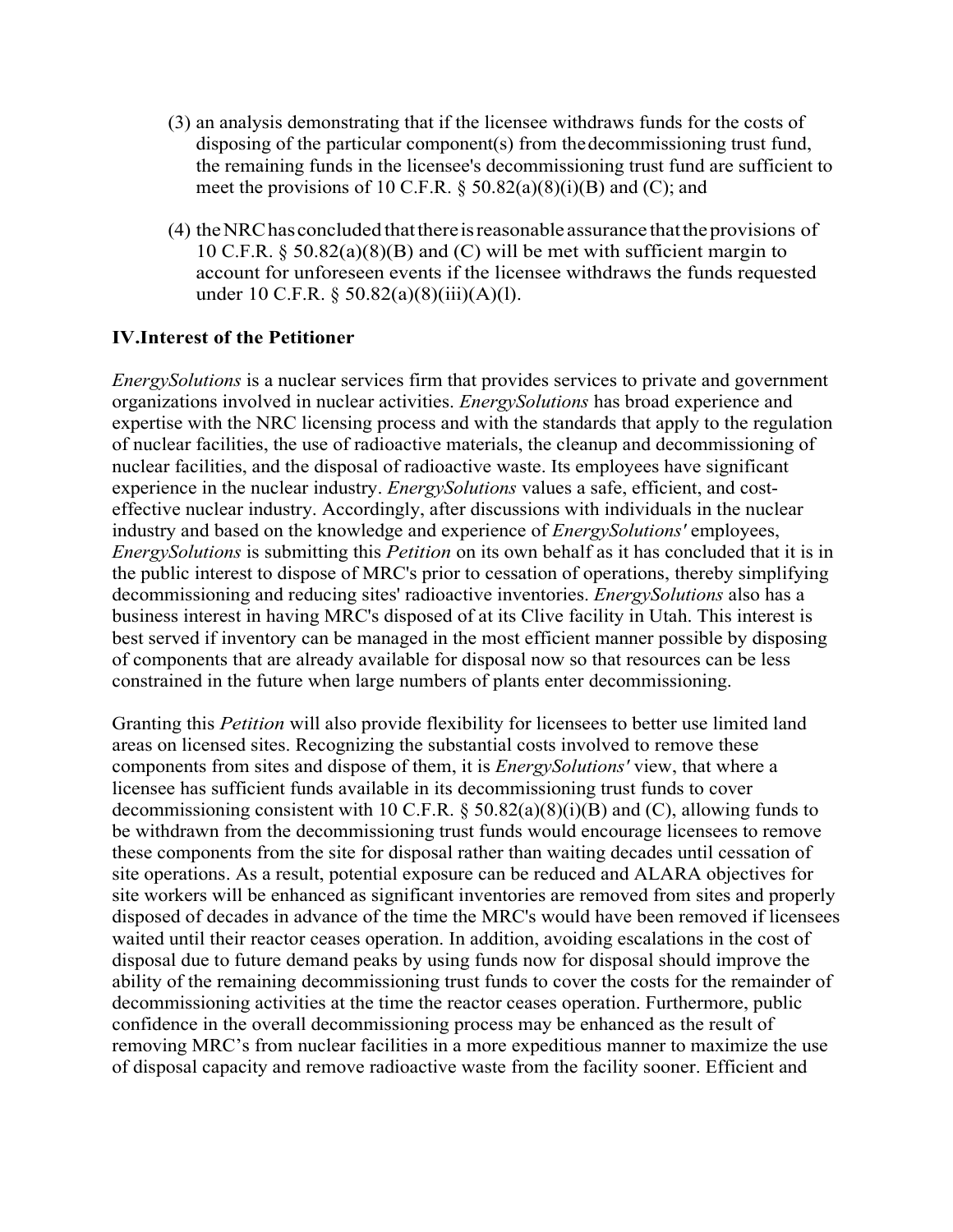- (3) an analysis demonstrating that if the licensee withdraws funds for the costs of disposing of the particular component(s) from thedecommissioning trust fund, the remaining funds in the licensee's decommissioning trust fund are sufficient to meet the provisions of 10 C.F.R.  $\S$  50.82(a)(8)(i)(B) and (C); and
- (4) theNRC has concluded thatthereisreasonable assurance thattheprovisions of 10 C.F.R.  $\S$  50.82(a)(8)(B) and (C) will be met with sufficient margin to account for unforeseen events if the licensee withdraws the funds requested under 10 C.F.R. § 50.82(a)(8)(iii)(A)(1).

## **IV.Interest of the Petitioner**

*EnergySolutions* is a nuclear services firm that provides services to private and government organizations involved in nuclear activities. *EnergySolutions* has broad experience and expertise with the NRC licensing process and with the standards that apply to the regulation of nuclear facilities, the use of radioactive materials, the cleanup and decommissioning of nuclear facilities, and the disposal of radioactive waste. Its employees have significant experience in the nuclear industry. *EnergySolutions* values a safe, efficient, and costeffective nuclear industry. Accordingly, after discussions with individuals in the nuclear industry and based on the knowledge and experience of *EnergySolutions'* employees, *EnergySolutions* is submitting this *Petition* on its own behalf as it has concluded that it is in the public interest to dispose of MRC's prior to cessation of operations, thereby simplifying decommissioning and reducing sites' radioactive inventories. *EnergySolutions* also has a business interest in having MRC's disposed of at its Clive facility in Utah. This interest is best served if inventory can be managed in the most efficient manner possible by disposing of components that are already available for disposal now so that resources can be less constrained in the future when large numbers of plants enter decommissioning.

Granting this *Petition* will also provide flexibility for licensees to better use limited land areas on licensed sites. Recognizing the substantial costs involved to remove these components from sites and dispose of them, it is *EnergySolutions'* view, that where a licensee has sufficient funds available in its decommissioning trust funds to cover decommissioning consistent with 10 C.F.R.  $\S$  50.82(a)(8)(i)(B) and (C), allowing funds to be withdrawn from the decommissioning trust funds would encourage licensees to remove these components from the site for disposal rather than waiting decades until cessation of site operations. As a result, potential exposure can be reduced and ALARA objectives for site workers will be enhanced as significant inventories are removed from sites and properly disposed of decades in advance of the time the MRC's would have been removed if licensees waited until their reactor ceases operation. In addition, avoiding escalations in the cost of disposal due to future demand peaks by using funds now for disposal should improve the ability of the remaining decommissioning trust funds to cover the costs for the remainder of decommissioning activities at the time the reactor ceases operation. Furthermore, public confidence in the overall decommissioning process may be enhanced as the result of removing MRC's from nuclear facilities in a more expeditious manner to maximize the use of disposal capacity and remove radioactive waste from the facility sooner. Efficient and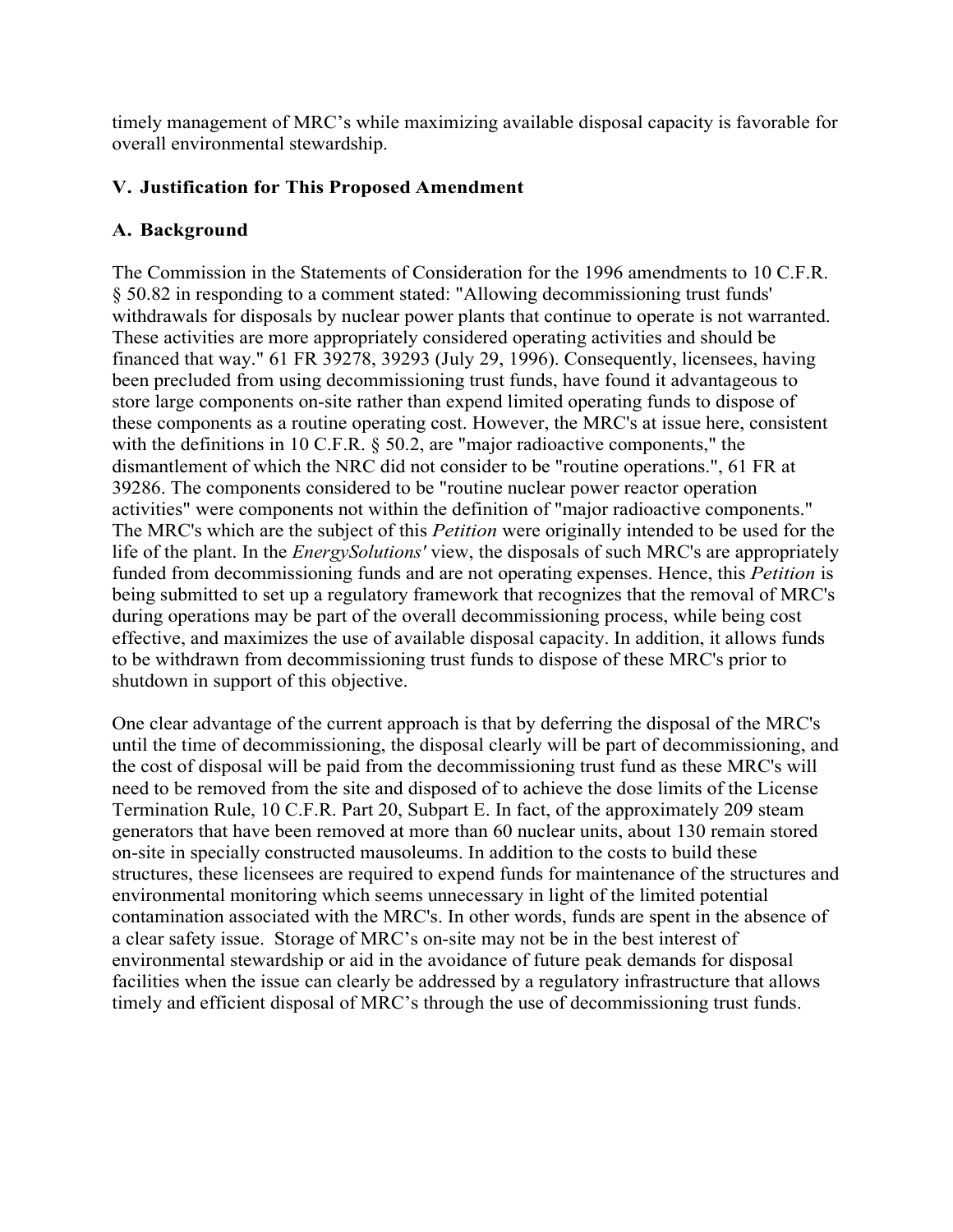timely management of MRC's while maximizing available disposal capacity is favorable for overall environmental stewardship.

# **V. Justification for This Proposed Amendment**

# **A. Background**

The Commission in the Statements of Consideration for the 1996 amendments to 10 C.F.R. § 50.82 in responding to a comment stated: "Allowing decommissioning trust funds' withdrawals for disposals by nuclear power plants that continue to operate is not warranted. These activities are more appropriately considered operating activities and should be financed that way." 61 FR 39278, 39293 (July 29, 1996). Consequently, licensees, having been precluded from using decommissioning trust funds, have found it advantageous to store large components on-site rather than expend limited operating funds to dispose of these components as a routine operating cost. However, the MRC's at issue here, consistent with the definitions in 10 C.F.R. § 50.2, are "major radioactive components," the dismantlement of which the NRC did not consider to be "routine operations.", 61 FR at 39286. The components considered to be "routine nuclear power reactor operation activities" were components not within the definition of "major radioactive components." The MRC's which are the subject of this *Petition* were originally intended to be used for the life of the plant. In the *EnergySolutions'* view, the disposals of such MRC's are appropriately funded from decommissioning funds and are not operating expenses. Hence, this *Petition* is being submitted to set up a regulatory framework that recognizes that the removal of MRC's during operations may be part of the overall decommissioning process, while being cost effective, and maximizes the use of available disposal capacity. In addition, it allows funds to be withdrawn from decommissioning trust funds to dispose of these MRC's prior to shutdown in support of this objective.

One clear advantage of the current approach is that by deferring the disposal of the MRC's until the time of decommissioning, the disposal clearly will be part of decommissioning, and the cost of disposal will be paid from the decommissioning trust fund as these MRC's will need to be removed from the site and disposed of to achieve the dose limits of the License Termination Rule, 10 C.F.R. Part 20, Subpart E. In fact, of the approximately 209 steam generators that have been removed at more than 60 nuclear units, about 130 remain stored on-site in specially constructed mausoleums. In addition to the costs to build these structures, these licensees are required to expend funds for maintenance of the structures and environmental monitoring which seems unnecessary in light of the limited potential contamination associated with the MRC's. In other words, funds are spent in the absence of a clear safety issue. Storage of MRC's on-site may not be in the best interest of environmental stewardship or aid in the avoidance of future peak demands for disposal facilities when the issue can clearly be addressed by a regulatory infrastructure that allows timely and efficient disposal of MRC's through the use of decommissioning trust funds.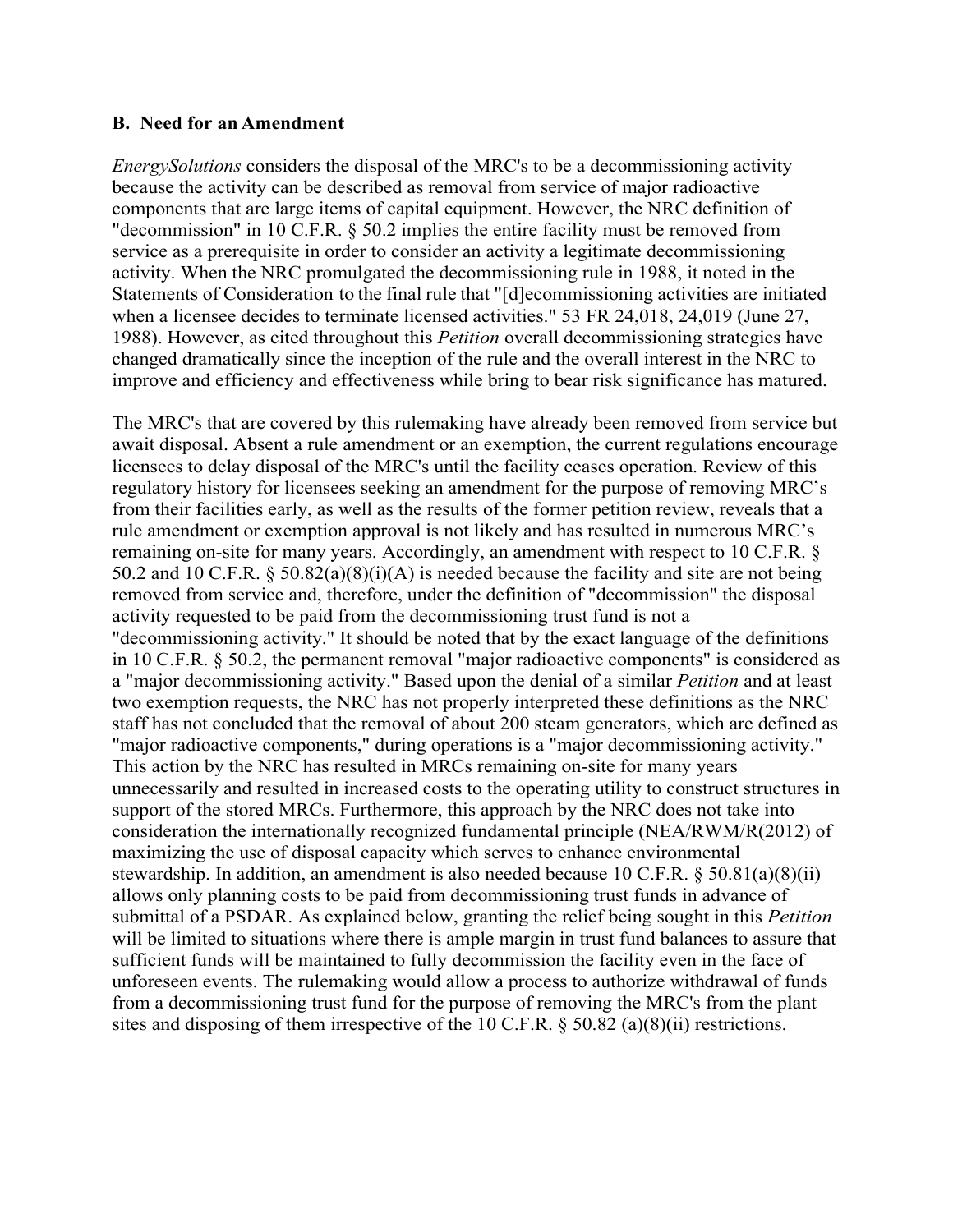#### **B. Need for an Amendment**

*EnergySolutions* considers the disposal of the MRC's to be a decommissioning activity because the activity can be described as removal from service of major radioactive components that are large items of capital equipment. However, the NRC definition of "decommission" in 10 C.F.R. § 50.2 implies the entire facility must be removed from service as a prerequisite in order to consider an activity a legitimate decommissioning activity. When the NRC promulgated the decommissioning rule in 1988, it noted in the Statements of Consideration to the final rule that "[d]ecommissioning activities are initiated when a licensee decides to terminate licensed activities." 53 FR 24,018, 24,019 (June 27, 1988). However, as cited throughout this *Petition* overall decommissioning strategies have changed dramatically since the inception of the rule and the overall interest in the NRC to improve and efficiency and effectiveness while bring to bear risk significance has matured.

The MRC's that are covered by this rulemaking have already been removed from service but await disposal. Absent a rule amendment or an exemption, the current regulations encourage licensees to delay disposal of the MRC's until the facility ceases operation. Review of this regulatory history for licensees seeking an amendment for the purpose of removing MRC's from their facilities early, as well as the results of the former petition review, reveals that a rule amendment or exemption approval is not likely and has resulted in numerous MRC's remaining on-site for many years. Accordingly, an amendment with respect to 10 C.F.R. § 50.2 and 10 C.F.R. § 50.82(a)(8)(i)(A) is needed because the facility and site are not being removed from service and, therefore, under the definition of "decommission" the disposal activity requested to be paid from the decommissioning trust fund is not a "decommissioning activity." It should be noted that by the exact language of the definitions in 10 C.F.R. § 50.2, the permanent removal "major radioactive components" is considered as a "major decommissioning activity." Based upon the denial of a similar *Petition* and at least two exemption requests, the NRC has not properly interpreted these definitions as the NRC staff has not concluded that the removal of about 200 steam generators, which are defined as "major radioactive components," during operations is a "major decommissioning activity." This action by the NRC has resulted in MRCs remaining on-site for many years unnecessarily and resulted in increased costs to the operating utility to construct structures in support of the stored MRCs. Furthermore, this approach by the NRC does not take into consideration the internationally recognized fundamental principle (NEA/RWM/R(2012) of maximizing the use of disposal capacity which serves to enhance environmental stewardship. In addition, an amendment is also needed because 10 C.F.R. § 50.81(a)(8)(ii) allows only planning costs to be paid from decommissioning trust funds in advance of submittal of a PSDAR. As explained below, granting the relief being sought in this *Petition* will be limited to situations where there is ample margin in trust fund balances to assure that sufficient funds will be maintained to fully decommission the facility even in the face of unforeseen events. The rulemaking would allow a process to authorize withdrawal of funds from a decommissioning trust fund for the purpose of removing the MRC's from the plant sites and disposing of them irrespective of the 10 C.F.R. § 50.82 (a)(8)(ii) restrictions.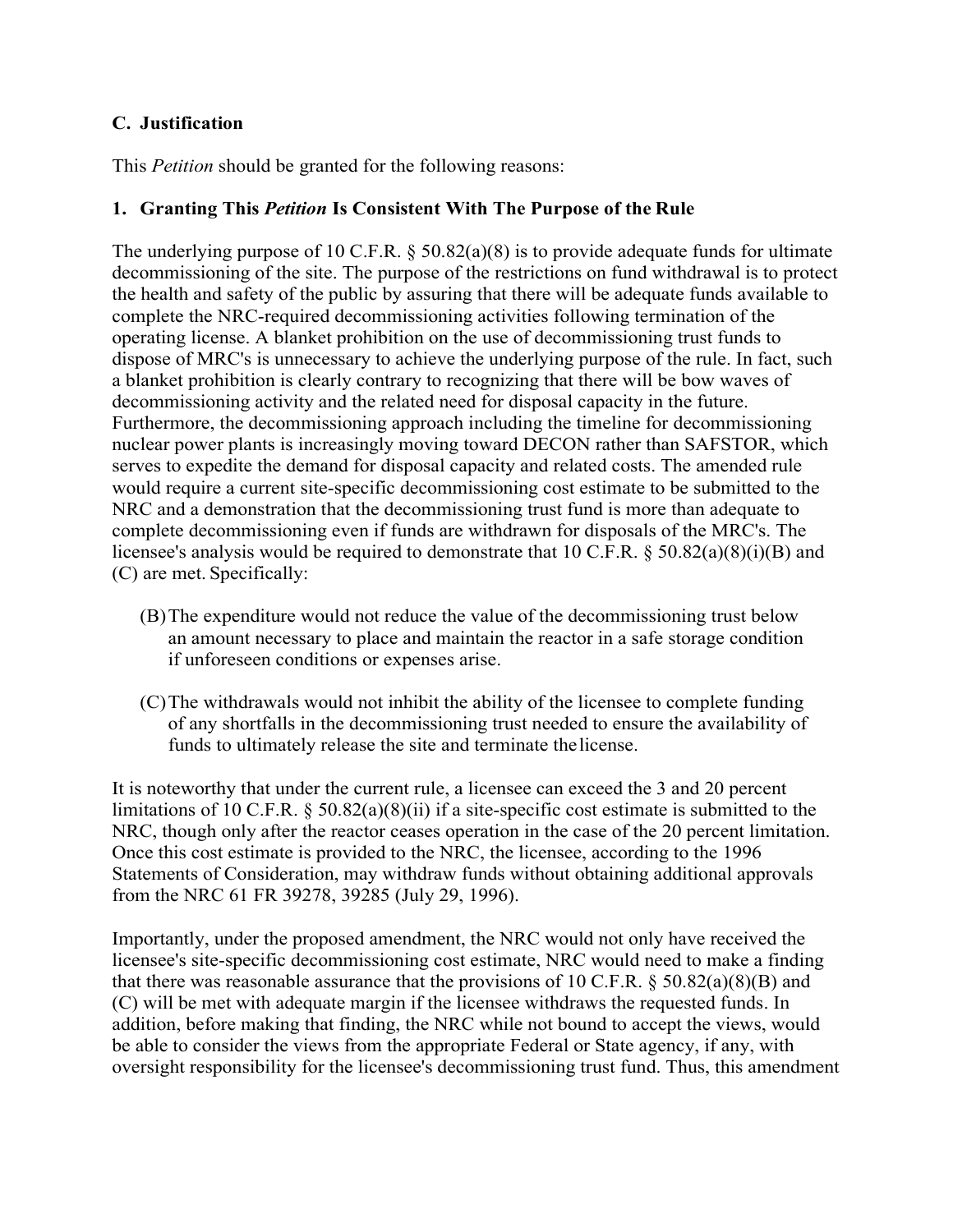## **C. Justification**

This *Petition* should be granted for the following reasons:

## **1. Granting This** *Petition* **Is Consistent With The Purpose of the Rule**

The underlying purpose of 10 C.F.R. § 50.82(a)(8) is to provide adequate funds for ultimate decommissioning of the site. The purpose of the restrictions on fund withdrawal is to protect the health and safety of the public by assuring that there will be adequate funds available to complete the NRC-required decommissioning activities following termination of the operating license. A blanket prohibition on the use of decommissioning trust funds to dispose of MRC's is unnecessary to achieve the underlying purpose of the rule. In fact, such a blanket prohibition is clearly contrary to recognizing that there will be bow waves of decommissioning activity and the related need for disposal capacity in the future. Furthermore, the decommissioning approach including the timeline for decommissioning nuclear power plants is increasingly moving toward DECON rather than SAFSTOR, which serves to expedite the demand for disposal capacity and related costs. The amended rule would require a current site-specific decommissioning cost estimate to be submitted to the NRC and a demonstration that the decommissioning trust fund is more than adequate to complete decommissioning even if funds are withdrawn for disposals of the MRC's. The licensee's analysis would be required to demonstrate that 10 C.F.R. § 50.82(a)(8)(i)(B) and (C) are met. Specifically:

- (B) The expenditure would not reduce the value of the decommissioning trust below an amount necessary to place and maintain the reactor in a safe storage condition if unforeseen conditions or expenses arise.
- (C) The withdrawals would not inhibit the ability of the licensee to complete funding of any shortfalls in the decommissioning trust needed to ensure the availability of funds to ultimately release the site and terminate thelicense.

It is noteworthy that under the current rule, a licensee can exceed the 3 and 20 percent limitations of 10 C.F.R. § 50.82(a)(8)(ii) if a site-specific cost estimate is submitted to the NRC, though only after the reactor ceases operation in the case of the 20 percent limitation. Once this cost estimate is provided to the NRC, the licensee, according to the 1996 Statements of Consideration, may withdraw funds without obtaining additional approvals from the NRC 61 FR 39278, 39285 (July 29, 1996).

Importantly, under the proposed amendment, the NRC would not only have received the licensee's site-specific decommissioning cost estimate, NRC would need to make a finding that there was reasonable assurance that the provisions of 10 C.F.R.  $\S$  50.82(a)(8)(B) and (C) will be met with adequate margin if the licensee withdraws the requested funds. In addition, before making that finding, the NRC while not bound to accept the views, would be able to consider the views from the appropriate Federal or State agency, if any, with oversight responsibility for the licensee's decommissioning trust fund. Thus, this amendment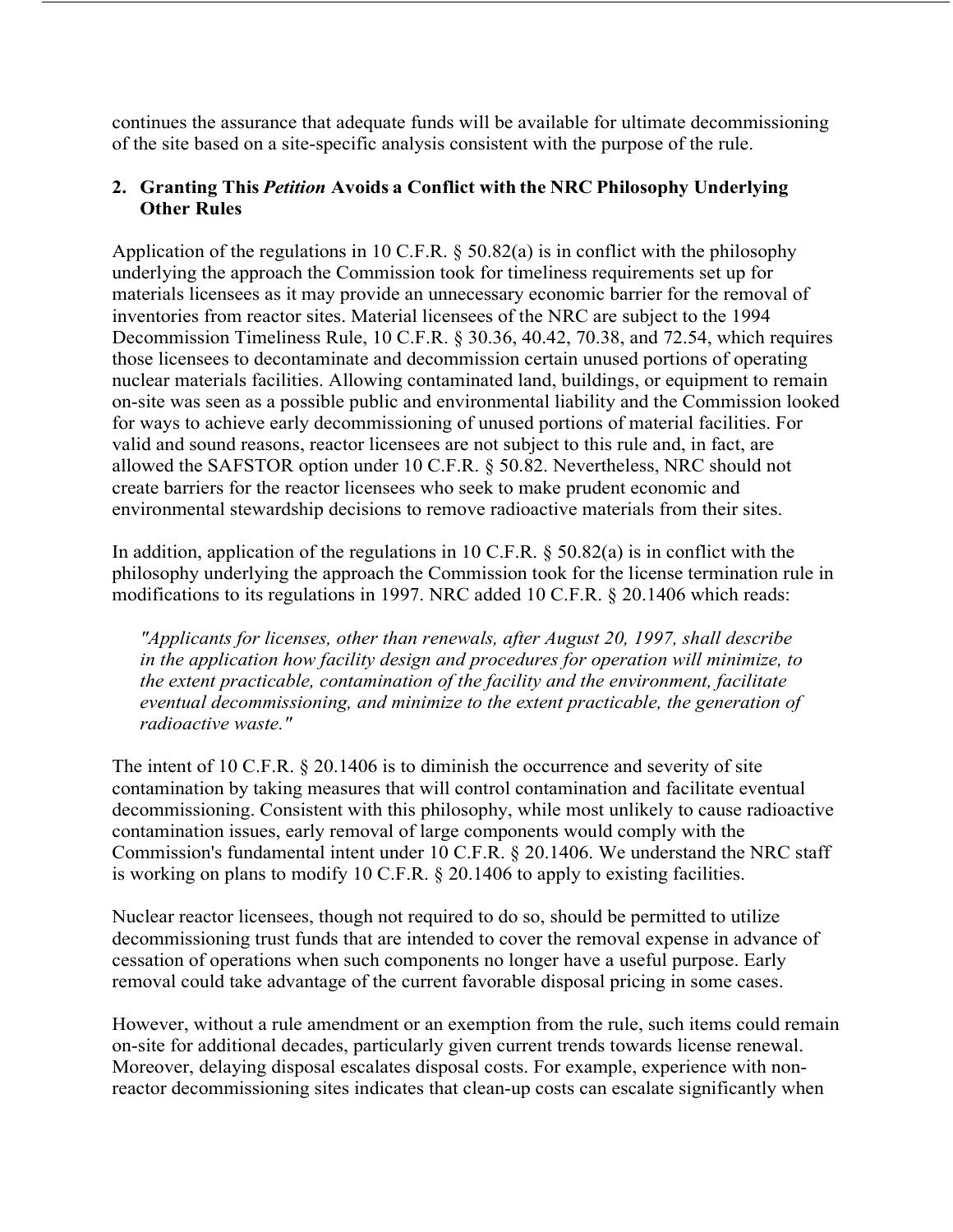continues the assurance that adequate funds will be available for ultimate decommissioning of the site based on a site-specific analysis consistent with the purpose of the rule.

## **2. Granting This** *Petition* **Avoids a Conflict with the NRC Philosophy Underlying Other Rules**

Application of the regulations in 10 C.F.R. § 50.82(a) is in conflict with the philosophy underlying the approach the Commission took for timeliness requirements set up for materials licensees as it may provide an unnecessary economic barrier for the removal of inventories from reactor sites. Material licensees of the NRC are subject to the 1994 Decommission Timeliness Rule, 10 C.F.R. § 30.36, 40.42, 70.38, and 72.54, which requires those licensees to decontaminate and decommission certain unused portions of operating nuclear materials facilities. Allowing contaminated land, buildings, or equipment to remain on-site was seen as a possible public and environmental liability and the Commission looked for ways to achieve early decommissioning of unused portions of material facilities. For valid and sound reasons, reactor licensees are not subject to this rule and, in fact, are allowed the SAFSTOR option under 10 C.F.R. § 50.82. Nevertheless, NRC should not create barriers for the reactor licensees who seek to make prudent economic and environmental stewardship decisions to remove radioactive materials from their sites.

In addition, application of the regulations in 10 C.F.R.  $\S$  50.82(a) is in conflict with the philosophy underlying the approach the Commission took for the license termination rule in modifications to its regulations in 1997. NRC added 10 C.F.R. § 20.1406 which reads:

*"Applicants for licenses, other than renewals, after August 20, 1997, shall describe in the application how facility design and procedures for operation will minimize, to the extent practicable, contamination of the facility and the environment, facilitate eventual decommissioning, and minimize to the extent practicable, the generation of radioactive waste."*

The intent of 10 C.F.R. § 20.1406 is to diminish the occurrence and severity of site contamination by taking measures that will control contamination and facilitate eventual decommissioning. Consistent with this philosophy, while most unlikely to cause radioactive contamination issues, early removal of large components would comply with the Commission's fundamental intent under 10 C.F.R. § 20.1406. We understand the NRC staff is working on plans to modify 10 C.F.R. § 20.1406 to apply to existing facilities.

Nuclear reactor licensees, though not required to do so, should be permitted to utilize decommissioning trust funds that are intended to cover the removal expense in advance of cessation of operations when such components no longer have a useful purpose. Early removal could take advantage of the current favorable disposal pricing in some cases.

However, without a rule amendment or an exemption from the rule, such items could remain on-site for additional decades, particularly given current trends towards license renewal. Moreover, delaying disposal escalates disposal costs. For example, experience with nonreactor decommissioning sites indicates that clean-up costs can escalate significantly when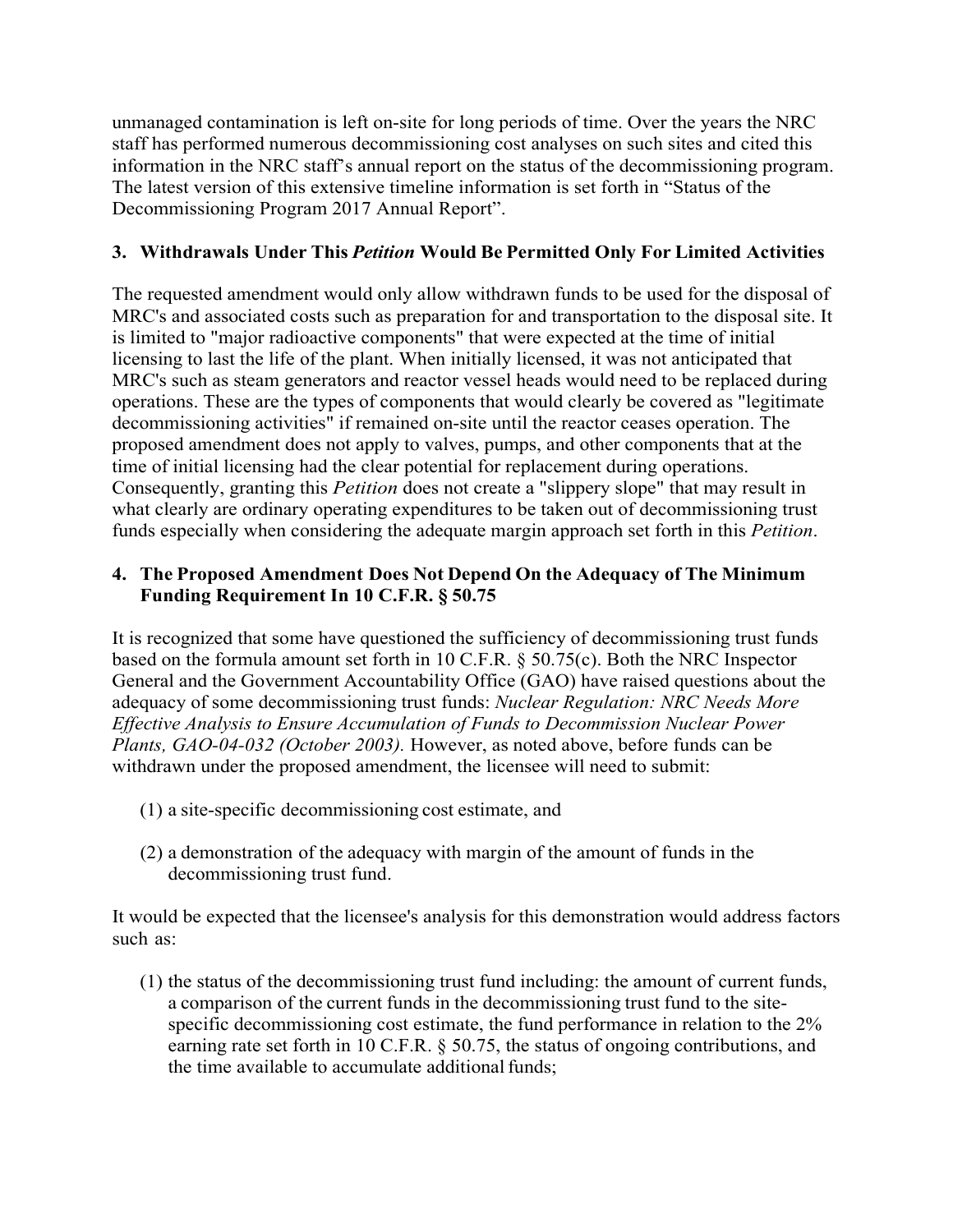unmanaged contamination is left on-site for long periods of time. Over the years the NRC staff has performed numerous decommissioning cost analyses on such sites and cited this information in the NRC staff's annual report on the status of the decommissioning program. The latest version of this extensive timeline information is set forth in "Status of the Decommissioning Program 2017 Annual Report".

# **3. Withdrawals Under This** *Petition* **Would Be Permitted Only For Limited Activities**

The requested amendment would only allow withdrawn funds to be used for the disposal of MRC's and associated costs such as preparation for and transportation to the disposal site. It is limited to "major radioactive components" that were expected at the time of initial licensing to last the life of the plant. When initially licensed, it was not anticipated that MRC's such as steam generators and reactor vessel heads would need to be replaced during operations. These are the types of components that would clearly be covered as "legitimate decommissioning activities" if remained on-site until the reactor ceases operation. The proposed amendment does not apply to valves, pumps, and other components that at the time of initial licensing had the clear potential for replacement during operations. Consequently, granting this *Petition* does not create a "slippery slope" that may result in what clearly are ordinary operating expenditures to be taken out of decommissioning trust funds especially when considering the adequate margin approach set forth in this *Petition*.

# **4. The Proposed Amendment Does Not Depend On the Adequacy of The Minimum Funding Requirement In 10 C.F.R. § 50.75**

It is recognized that some have questioned the sufficiency of decommissioning trust funds based on the formula amount set forth in 10 C.F.R. § 50.75(c). Both the NRC Inspector General and the Government Accountability Office (GAO) have raised questions about the adequacy of some decommissioning trust funds: *Nuclear Regulation: NRC Needs More Effective Analysis to Ensure Accumulation of Funds to Decommission Nuclear Power Plants, GAO-04-032 (October 2003).* However, as noted above, before funds can be withdrawn under the proposed amendment, the licensee will need to submit:

- (1) a site-specific decommissioning cost estimate, and
- (2) a demonstration of the adequacy with margin of the amount of funds in the decommissioning trust fund.

It would be expected that the licensee's analysis for this demonstration would address factors such as:

(1) the status of the decommissioning trust fund including: the amount of current funds, a comparison of the current funds in the decommissioning trust fund to the sitespecific decommissioning cost estimate, the fund performance in relation to the 2% earning rate set forth in 10 C.F.R. § 50.75, the status of ongoing contributions, and the time available to accumulate additional funds;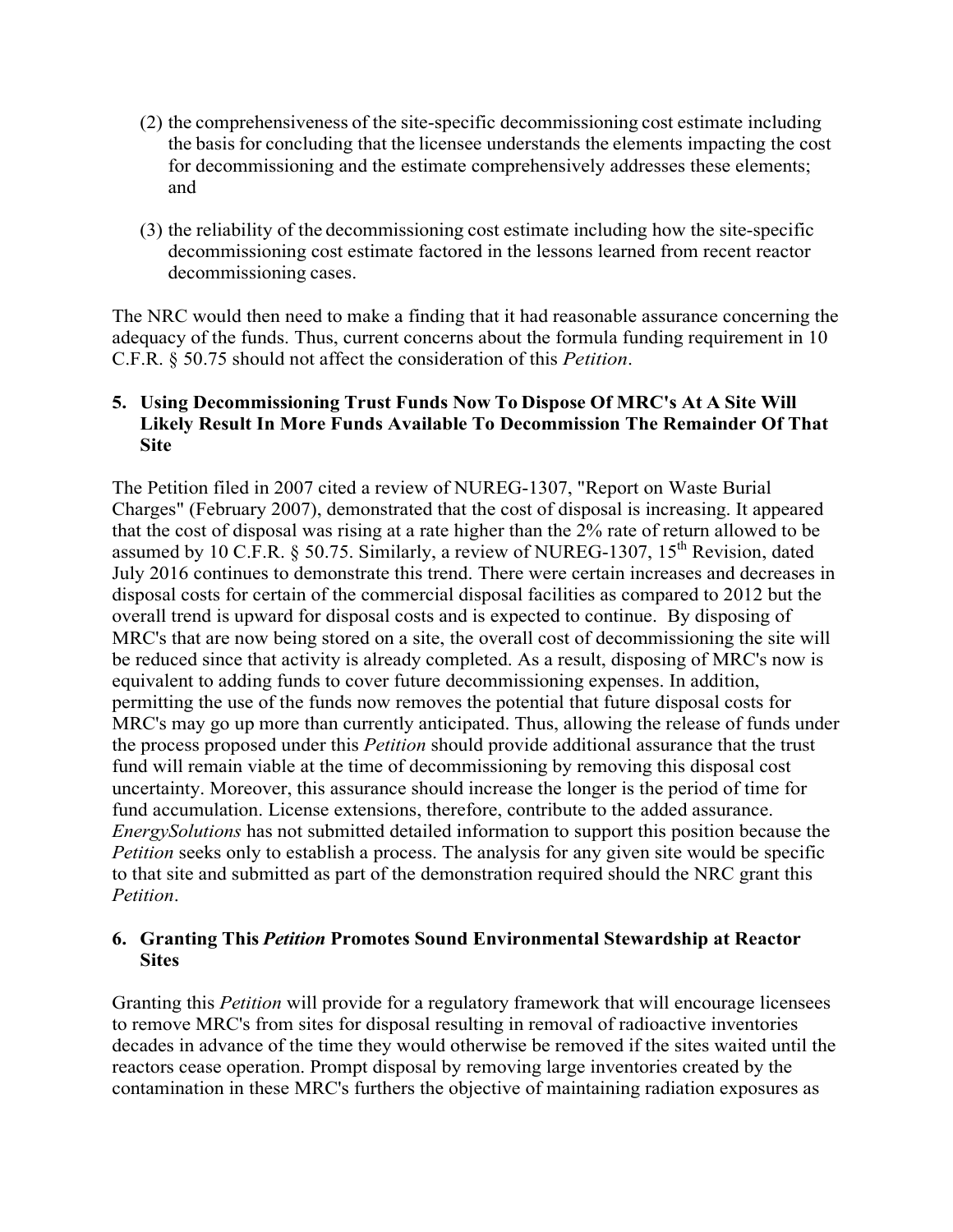- (2) the comprehensiveness of the site-specific decommissioning cost estimate including the basis for concluding that the licensee understands the elements impacting the cost for decommissioning and the estimate comprehensively addresses these elements; and
- (3) the reliability of the decommissioning cost estimate including how the sitespecific decommissioning cost estimate factored in the lessons learned from recent reactor decommissioning cases.

The NRC would then need to make a finding that it had reasonable assurance concerning the adequacy of the funds. Thus, current concerns about the formula funding requirement in 10 C.F.R. § 50.75 should not affect the consideration of this *Petition*.

#### **5. Using Decommissioning Trust Funds Now To Dispose Of MRC's At A Site Will Likely Result In More Funds Available To Decommission The Remainder Of That Site**

The Petition filed in 2007 cited a review of NUREG-1307, "Report on Waste Burial Charges" (February 2007), demonstrated that the cost of disposal is increasing. It appeared that the cost of disposal was rising at a rate higher than the 2% rate of return allowed to be assumed by 10 C.F.R. § 50.75. Similarly, a review of NUREG-1307, 15<sup>th</sup> Revision, dated July 2016 continues to demonstrate this trend. There were certain increases and decreases in disposal costs for certain of the commercial disposal facilities as compared to 2012 but the overall trend is upward for disposal costs and is expected to continue. By disposing of MRC's that are now being stored on a site, the overall cost of decommissioning the site will be reduced since that activity is already completed. As a result, disposing of MRC's now is equivalent to adding funds to cover future decommissioning expenses. In addition, permitting the use of the funds now removes the potential that future disposal costs for MRC's may go up more than currently anticipated. Thus, allowing the release of funds under the process proposed under this *Petition* should provide additional assurance that the trust fund will remain viable at the time of decommissioning by removing this disposal cost uncertainty. Moreover, this assurance should increase the longer is the period of time for fund accumulation. License extensions, therefore, contribute to the added assurance. *EnergySolutions* has not submitted detailed information to support this position because the *Petition* seeks only to establish a process. The analysis for any given site would be specific to that site and submitted as part of the demonstration required should the NRC grant this *Petition*.

#### **6. Granting This** *Petition* **Promotes Sound Environmental Stewardship at Reactor Sites**

Granting this *Petition* will provide for a regulatory framework that will encourage licensees to remove MRC's from sites for disposal resulting in removal of radioactive inventories decades in advance of the time they would otherwise be removed if the sites waited until the reactors cease operation. Prompt disposal by removing large inventories created by the contamination in these MRC's furthers the objective of maintaining radiation exposures as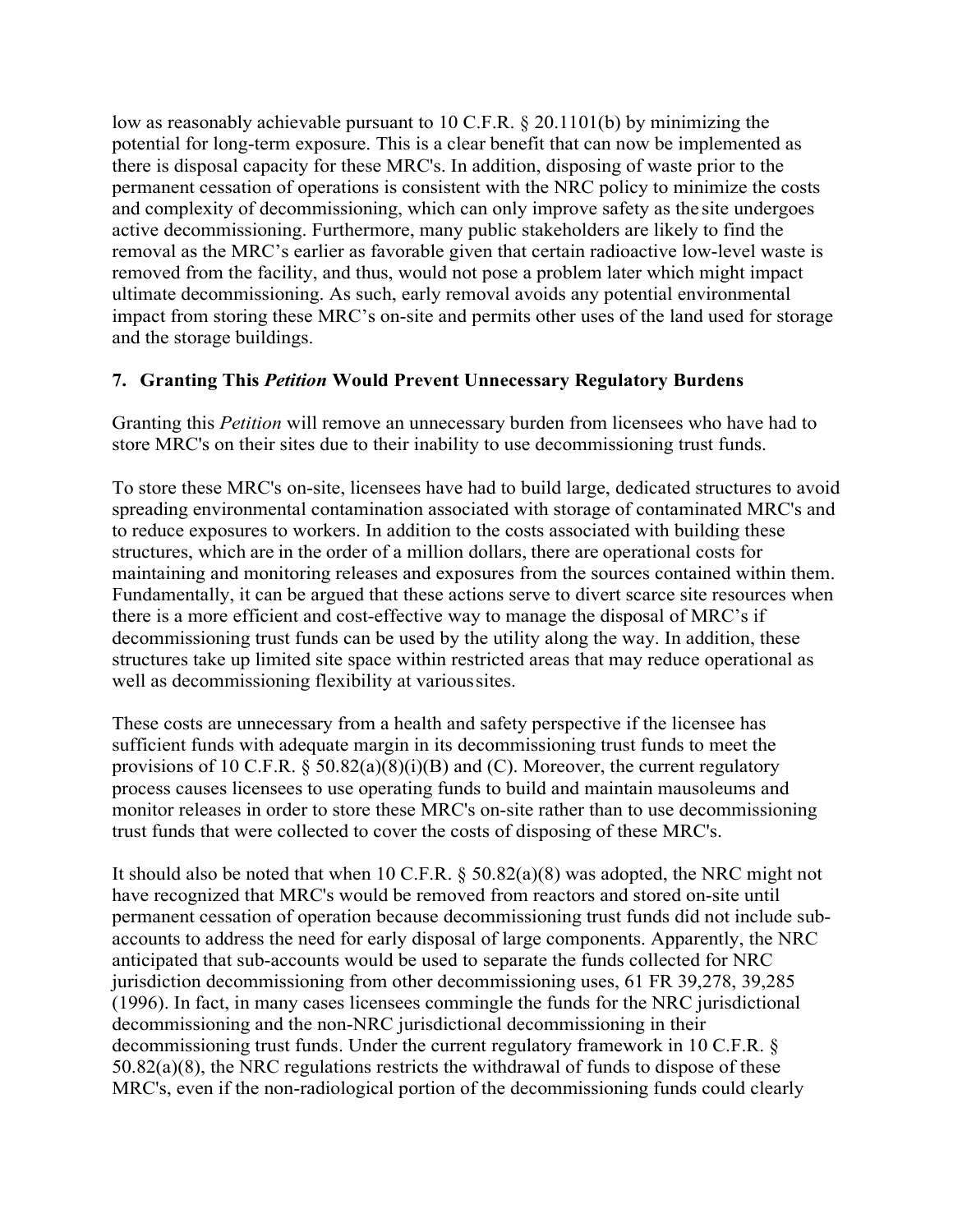low as reasonably achievable pursuant to 10 C.F.R. § 20.1101(b) by minimizing the potential for long-term exposure. This is a clear benefit that can now be implemented as there is disposal capacity for these MRC's. In addition, disposing of waste prior to the permanent cessation of operations is consistent with the NRC policy to minimize the costs and complexity of decommissioning, which can only improve safety as the site undergoes active decommissioning. Furthermore, many public stakeholders are likely to find the removal as the MRC's earlier as favorable given that certain radioactive low-level waste is removed from the facility, and thus, would not pose a problem later which might impact ultimate decommissioning. As such, early removal avoids any potential environmental impact from storing these MRC's on-site and permits other uses of the land used for storage and the storage buildings.

#### **7. Granting This** *Petition* **Would Prevent Unnecessary Regulatory Burdens**

Granting this *Petition* will remove an unnecessary burden from licensees who have had to store MRC's on their sites due to their inability to use decommissioning trust funds.

To store these MRC's on-site, licensees have had to build large, dedicated structures to avoid spreading environmental contamination associated with storage of contaminated MRC's and to reduce exposures to workers. In addition to the costs associated with building these structures, which are in the order of a million dollars, there are operational costs for maintaining and monitoring releases and exposures from the sources contained within them. Fundamentally, it can be argued that these actions serve to divert scarce site resources when there is a more efficient and cost-effective way to manage the disposal of MRC's if decommissioning trust funds can be used by the utility along the way. In addition, these structures take up limited site space within restricted areas that may reduce operational as well as decommissioning flexibility at varioussites.

These costs are unnecessary from a health and safety perspective if the licensee has sufficient funds with adequate margin in its decommissioning trust funds to meet the provisions of 10 C.F.R.  $\S$  50.82(a)(8)(i)(B) and (C). Moreover, the current regulatory process causes licensees to use operating funds to build and maintain mausoleums and monitor releases in order to store these MRC's on-site rather than to use decommissioning trust funds that were collected to cover the costs of disposing of these MRC's.

It should also be noted that when 10 C.F.R. § 50.82(a)(8) was adopted, the NRC might not have recognized that MRC's would be removed from reactors and stored on-site until permanent cessation of operation because decommissioning trust funds did not include subaccounts to address the need for early disposal of large components. Apparently, the NRC anticipated that sub-accounts would be used to separate the funds collected for NRC jurisdiction decommissioning from other decommissioning uses, 61 FR 39,278, 39,285 (1996). In fact, in many cases licensees commingle the funds for the NRC jurisdictional decommissioning and the non-NRC jurisdictional decommissioning in their decommissioning trust funds. Under the current regulatory framework in 10 C.F.R. § 50.82(a)(8), the NRC regulations restricts the withdrawal of funds to dispose of these MRC's, even if the non-radiological portion of the decommissioning funds could clearly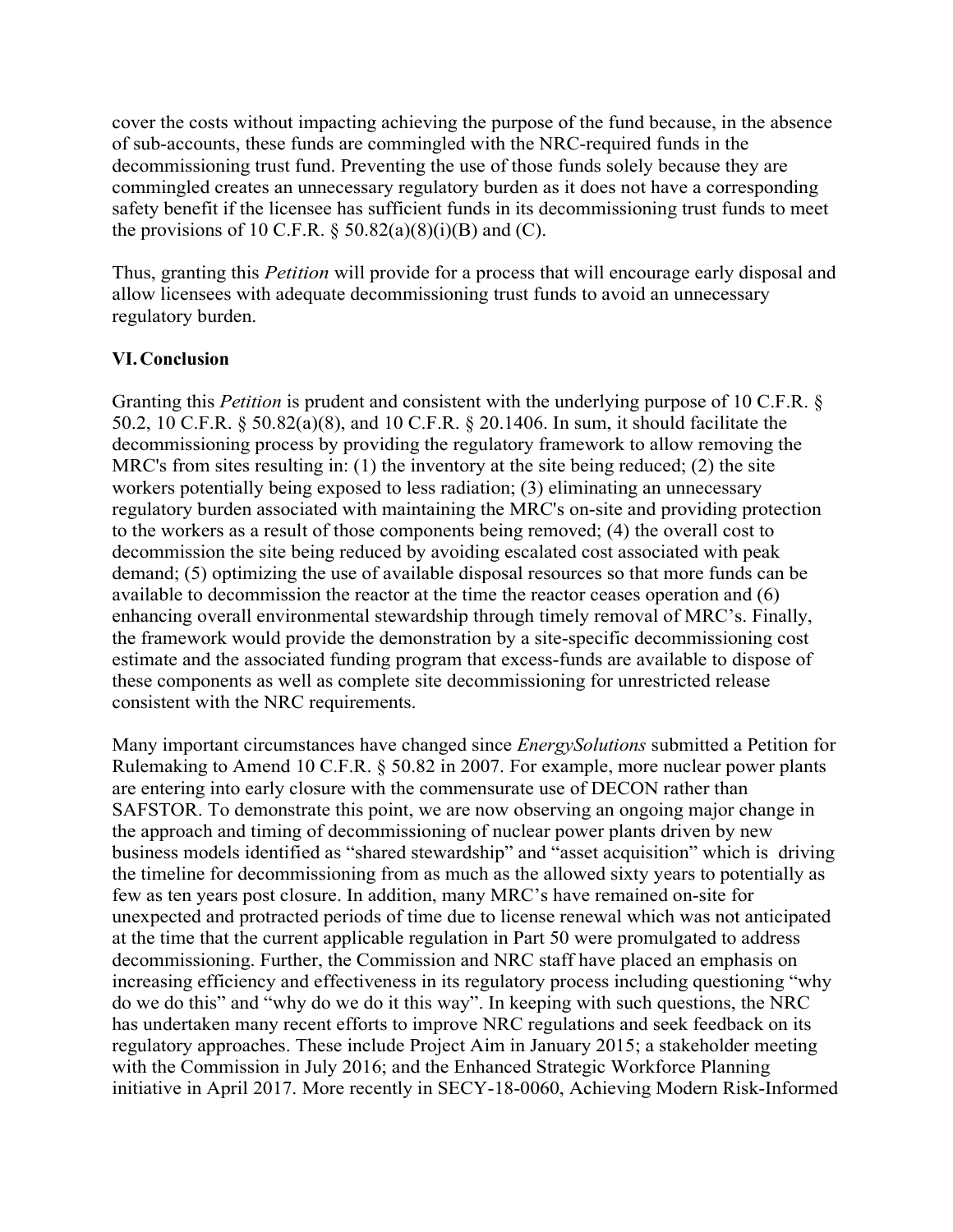cover the costs without impacting achieving the purpose of the fund because, in the absence of subaccounts, these funds are commingled with the NRC-required funds in the decommissioning trust fund. Preventing the use of those funds solely because they are commingled creates an unnecessary regulatory burden as it does not have a corresponding safety benefit if the licensee has sufficient funds in its decommissioning trust funds to meet the provisions of 10 C.F.R.  $\S$  50.82(a)(8)(i)(B) and (C).

Thus, granting this *Petition* will provide for a process that will encourage early disposal and allow licensees with adequate decommissioning trust funds to avoid an unnecessary regulatory burden.

## **VI. Conclusion**

Granting this *Petition* is prudent and consistent with the underlying purpose of 10 C.F.R. § 50.2, 10 C.F.R. § 50.82(a)(8), and 10 C.F.R. § 20.1406. In sum, it should facilitate the decommissioning process by providing the regulatory framework to allow removing the MRC's from sites resulting in: (1) the inventory at the site being reduced; (2) the site workers potentially being exposed to less radiation; (3) eliminating an unnecessary regulatory burden associated with maintaining the MRC's on-site and providing protection to the workers as a result of those components being removed; (4) the overall cost to decommission the site being reduced by avoiding escalated cost associated with peak demand; (5) optimizing the use of available disposal resources so that more funds can be available to decommission the reactor at the time the reactor ceases operation and (6) enhancing overall environmental stewardship through timely removal of MRC's. Finally, the framework would provide the demonstration by a site-specific decommissioning cost estimate and the associated funding program that excess-funds are available to dispose of these components as well as complete site decommissioning for unrestricted release consistent with the NRC requirements.

Many important circumstances have changed since *EnergySolutions* submitted a Petition for Rulemaking to Amend 10 C.F.R. § 50.82 in 2007. For example, more nuclear power plants are entering into early closure with the commensurate use of DECON rather than SAFSTOR. To demonstrate this point, we are now observing an ongoing major change in the approach and timing of decommissioning of nuclear power plants driven by new business models identified as "shared stewardship" and "asset acquisition" which is driving the timeline for decommissioning from as much as the allowed sixty years to potentially as few as ten years post closure. In addition, many MRC's have remained on-site for unexpected and protracted periods of time due to license renewal which was not anticipated at the time that the current applicable regulation in Part 50 were promulgated to address decommissioning. Further, the Commission and NRC staff have placed an emphasis on increasing efficiency and effectiveness in its regulatory process including questioning "why do we do this" and "why do we do it this way". In keeping with such questions, the NRC has undertaken many recent efforts to improve NRC regulations and seek feedback on its regulatory approaches. These include Project Aim in January 2015; a stakeholder meeting with the Commission in July 2016; and the Enhanced Strategic Workforce Planning initiative in April 2017. More recently in SECY-18-0060, Achieving Modern Risk-Informed